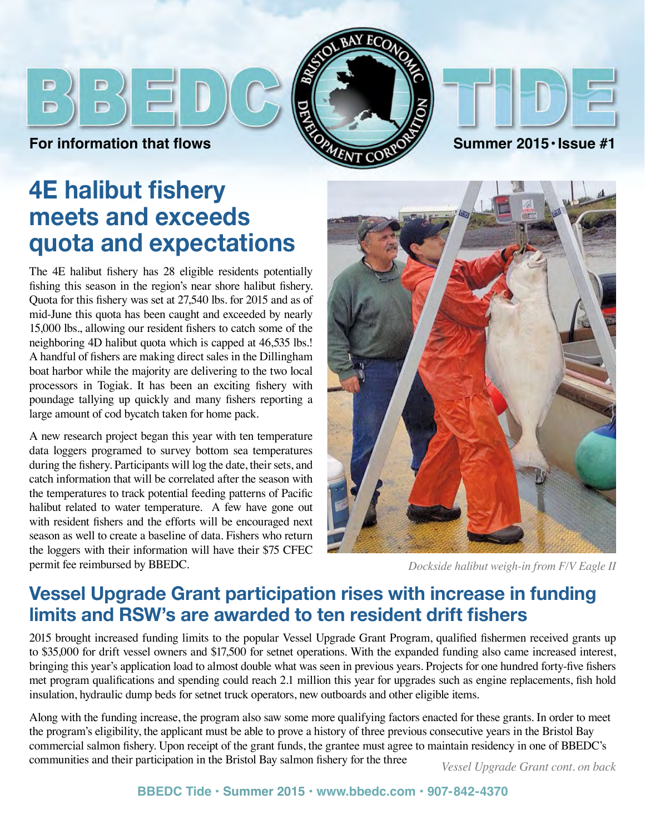





# **4E halibut fishery meets and exceeds quota and expectations**

The 4E halibut fishery has 28 eligible residents potentially fishing this season in the region's near shore halibut fishery. Quota for this fishery was set at 27,540 lbs. for 2015 and as of mid-June this quota has been caught and exceeded by nearly 15,000 lbs., allowing our resident fishers to catch some of the neighboring 4D halibut quota which is capped at 46,535 lbs.! A handful of fishers are making direct sales in the Dillingham boat harbor while the majority are delivering to the two local processors in Togiak. It has been an exciting fishery with poundage tallying up quickly and many fishers reporting a large amount of cod bycatch taken for home pack.

A new research project began this year with ten temperature data loggers programed to survey bottom sea temperatures during the fishery. Participants will log the date, their sets, and catch information that will be correlated after the season with the temperatures to track potential feeding patterns of Pacific halibut related to water temperature. A few have gone out with resident fishers and the efforts will be encouraged next season as well to create a baseline of data. Fishers who return the loggers with their information will have their \$75 CFEC permit fee reimbursed by BBEDC.



*Dockside halibut weigh-in from F/V Eagle II*

## **Vessel Upgrade Grant participation rises with increase in funding limits and RSW's are awarded to ten resident drift fishers**

2015 brought increased funding limits to the popular Vessel Upgrade Grant Program, qualified fishermen received grants up to \$35,000 for drift vessel owners and \$17,500 for setnet operations. With the expanded funding also came increased interest, bringing this year's application load to almost double what was seen in previous years. Projects for one hundred forty-five fishers met program qualifications and spending could reach 2.1 million this year for upgrades such as engine replacements, fish hold insulation, hydraulic dump beds for setnet truck operators, new outboards and other eligible items.

*Above, Bristol Maid coming ashore for the winter.* commercial salmon fishery. Upon receipt of the grant funds, the grantee must agree to maintain residency in one of BBEDC's *At left, Captain and crew of the Sherry Sea* communities and their participation in the Bristol Bay salmon fishery for the three *Vessel Upgrade Grant cont. on back* Along with the funding increase, the program also saw some more qualifying factors enacted for these grants. In order to meet the program's eligibility, the applicant must be able to prove a history of three previous consecutive years in the Bristol Bay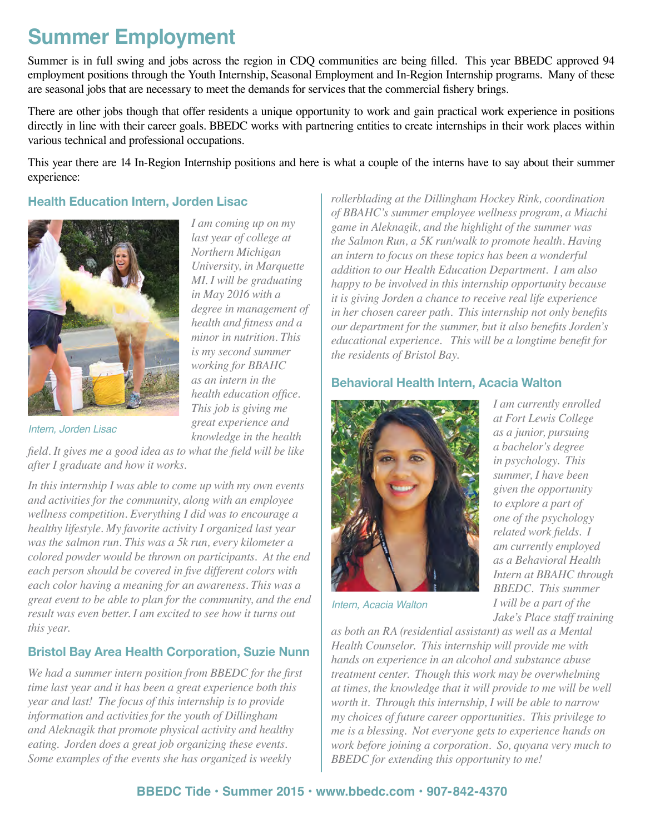# **Summer Employment**

Summer is in full swing and jobs across the region in CDQ communities are being filled. This year BBEDC approved 94 employment positions through the Youth Internship, Seasonal Employment and In-Region Internship programs. Many of these are seasonal jobs that are necessary to meet the demands for services that the commercial fishery brings.

There are other jobs though that offer residents a unique opportunity to work and gain practical work experience in positions directly in line with their career goals. BBEDC works with partnering entities to create internships in their work places within various technical and professional occupations.

This year there are 14 In-Region Internship positions and here is what a couple of the interns have to say about their summer experience:

> *I am coming up on my last year of college at Northern Michigan University, in Marquette MI. I will be graduating in May 2016 with a degree in management of health and fitness and a minor in nutrition. This is my second summer working for BBAHC as an intern in the health education office. This job is giving me great experience and*

#### **Health Education Intern, Jorden Lisac**



*Intern, Jorden Lisac*

*knowledge in the health field. It gives me a good idea as to what the field will be like after I graduate and how it works.*

*In this internship I was able to come up with my own events and activities for the community, along with an employee wellness competition. Everything I did was to encourage a healthy lifestyle. My favorite activity I organized last year was the salmon run. This was a 5k run, every kilometer a colored powder would be thrown on participants. At the end each person should be covered in five different colors with each color having a meaning for an awareness. This was a great event to be able to plan for the community, and the end result was even better. I am excited to see how it turns out this year.* 

### **Bristol Bay Area Health Corporation, Suzie Nunn**

*We had a summer intern position from BBEDC for the first time last year and it has been a great experience both this year and last! The focus of this internship is to provide information and activities for the youth of Dillingham and Aleknagik that promote physical activity and healthy eating. Jorden does a great job organizing these events. Some examples of the events she has organized is weekly* 

*rollerblading at the Dillingham Hockey Rink, coordination of BBAHC's summer employee wellness program, a Miachi game in Aleknagik, and the highlight of the summer was the Salmon Run, a 5K run/walk to promote health. Having an intern to focus on these topics has been a wonderful addition to our Health Education Department. I am also happy to be involved in this internship opportunity because it is giving Jorden a chance to receive real life experience in her chosen career path. This internship not only benefits our department for the summer, but it also benefits Jorden's educational experience. This will be a longtime benefit for the residents of Bristol Bay.*

### **Behavioral Health Intern, Acacia Walton**



*Intern, Acacia Walton*

*I am currently enrolled at Fort Lewis College as a junior, pursuing a bachelor's degree in psychology. This summer, I have been given the opportunity to explore a part of one of the psychology related work fields. I am currently employed as a Behavioral Health Intern at BBAHC through BBEDC. This summer I will be a part of the Jake's Place staff training* 

*as both an RA (residential assistant) as well as a Mental Health Counselor. This internship will provide me with hands on experience in an alcohol and substance abuse treatment center. Though this work may be overwhelming at times, the knowledge that it will provide to me will be well worth it. Through this internship, I will be able to narrow my choices of future career opportunities. This privilege to me is a blessing. Not everyone gets to experience hands on work before joining a corporation. So, quyana very much to BBEDC for extending this opportunity to me!*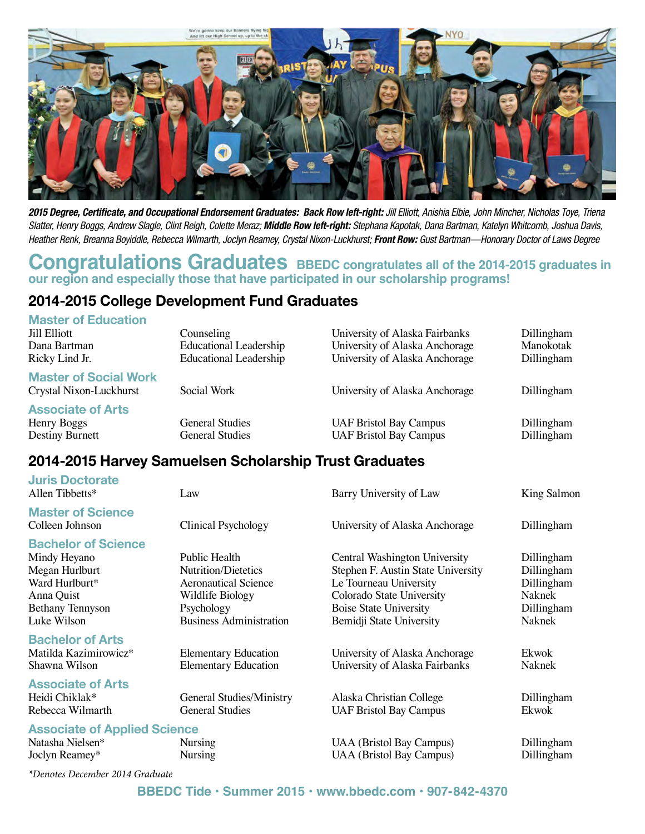

*2015 Degree, Certificate, and Occupational Endorsement Graduates: Back Row left-right: Jill Elliott, Anishia Elbie, John Mincher, Nicholas Toye, Triena Slatter, Henry Boggs, Andrew Slagle, Clint Reigh, Colette Meraz; Middle Row left-right: Stephana Kapotak, Dana Bartman, Katelyn Whitcomb, Joshua Davis,*  Heather Renk, Breanna Boyiddle, Rebecca Wilmarth, Joclyn Reamey, Crystal Nixon-Luckhurst; **Front Row:** Gust Bartman—Honorary Doctor of Laws Degree

### **Congratulations Graduates** BBEDC congratulates all of the 2014-2015 graduates in **our region and especially those that have participated in our scholarship programs!**

## **2014-2015 College Development Fund Graduates**

#### **Master of Education**

| <b>Jill Elliott</b><br>Dana Bartman                        | Counseling<br><b>Educational Leadership</b>      | University of Alaska Fairbanks<br>University of Alaska Anchorage | Dillingham<br>Manokotak  |
|------------------------------------------------------------|--------------------------------------------------|------------------------------------------------------------------|--------------------------|
| Ricky Lind Jr.                                             | <b>Educational Leadership</b>                    | University of Alaska Anchorage                                   | Dillingham               |
| <b>Master of Social Work</b><br>Crystal Nixon-Luckhurst    | Social Work                                      | University of Alaska Anchorage                                   | Dillingham               |
| <b>Associate of Arts</b><br>Henry Boggs<br>Destiny Burnett | <b>General Studies</b><br><b>General Studies</b> | <b>UAF Bristol Bay Campus</b><br><b>UAF Bristol Bay Campus</b>   | Dillingham<br>Dillingham |

### **2014-2015 Harvey Samuelsen Scholarship Trust Graduates**

| <b>Juris Doctorate</b><br>Allen Tibbetts*                                                                                              | Law                                                                                                                                            | Barry University of Law                                                                                                                                                                 | King Salmon                                                              |
|----------------------------------------------------------------------------------------------------------------------------------------|------------------------------------------------------------------------------------------------------------------------------------------------|-----------------------------------------------------------------------------------------------------------------------------------------------------------------------------------------|--------------------------------------------------------------------------|
| <b>Master of Science</b><br>Colleen Johnson                                                                                            | Clinical Psychology                                                                                                                            | University of Alaska Anchorage                                                                                                                                                          | Dillingham                                                               |
| <b>Bachelor of Science</b><br>Mindy Heyano<br>Megan Hurlburt<br>Ward Hurlburt*<br>Anna Quist<br><b>Bethany Tennyson</b><br>Luke Wilson | Public Health<br><b>Nutrition/Dietetics</b><br><b>Aeronautical Science</b><br>Wildlife Biology<br>Psychology<br><b>Business Administration</b> | Central Washington University<br>Stephen F. Austin State University<br>Le Tourneau University<br>Colorado State University<br><b>Boise State University</b><br>Bemidji State University | Dillingham<br>Dillingham<br>Dillingham<br>Naknek<br>Dillingham<br>Naknek |
| <b>Bachelor of Arts</b><br>Matilda Kazimirowicz*<br>Shawna Wilson                                                                      | <b>Elementary Education</b><br><b>Elementary Education</b>                                                                                     | University of Alaska Anchorage<br>University of Alaska Fairbanks                                                                                                                        | Ekwok<br>Naknek                                                          |
| <b>Associate of Arts</b><br>Heidi Chiklak*<br>Rebecca Wilmarth                                                                         | <b>General Studies/Ministry</b><br><b>General Studies</b>                                                                                      | Alaska Christian College<br><b>UAF Bristol Bay Campus</b>                                                                                                                               | Dillingham<br>Ekwok                                                      |
| <b>Associate of Applied Science</b><br>Natasha Nielsen*<br>Joclyn Reamey*                                                              | Nursing<br><b>Nursing</b>                                                                                                                      | <b>UAA</b> (Bristol Bay Campus)<br><b>UAA</b> (Bristol Bay Campus)                                                                                                                      | Dillingham<br>Dillingham                                                 |
|                                                                                                                                        |                                                                                                                                                |                                                                                                                                                                                         |                                                                          |

*\*Denotes December 2014 Graduate*

#### **BBEDC Tide • Summer 2015 • www.bbedc.com • 907-842-4370**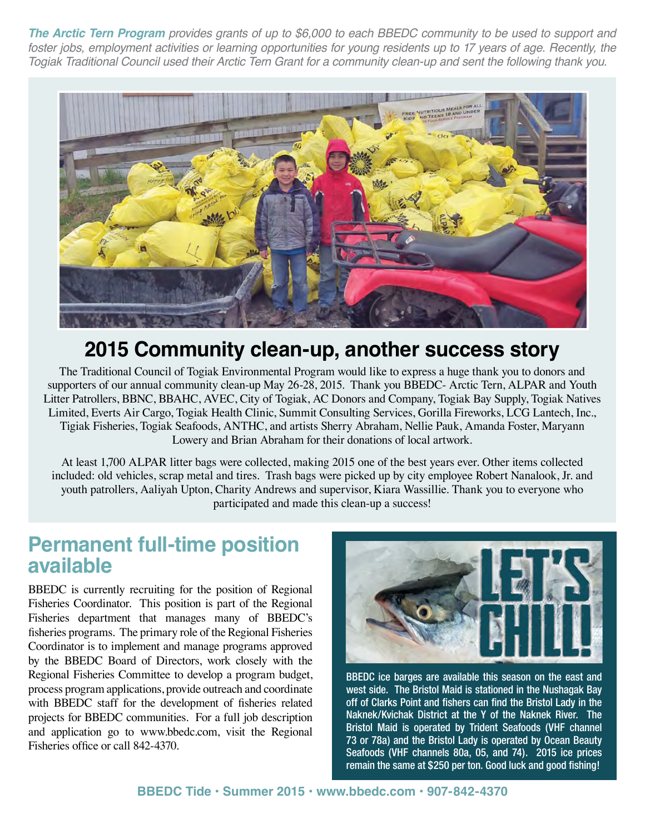*The Arctic Tern Program provides grants of up to \$6,000 to each BBEDC community to be used to support and*  foster jobs, employment activities or learning opportunities for young residents up to 17 years of age. Recently, the *Togiak Traditional Council used their Arctic Tern Grant for a community clean-up and sent the following thank you.*



## **2015 Community clean-up, another success story**

The Traditional Council of Togiak Environmental Program would like to express a huge thank you to donors and supporters of our annual community clean-up May 26-28, 2015. Thank you BBEDC- Arctic Tern, ALPAR and Youth Litter Patrollers, BBNC, BBAHC, AVEC, City of Togiak, AC Donors and Company, Togiak Bay Supply, Togiak Natives Limited, Everts Air Cargo, Togiak Health Clinic, Summit Consulting Services, Gorilla Fireworks, LCG Lantech, Inc., Tigiak Fisheries, Togiak Seafoods, ANTHC, and artists Sherry Abraham, Nellie Pauk, Amanda Foster, Maryann Lowery and Brian Abraham for their donations of local artwork.

At least 1,700 ALPAR litter bags were collected, making 2015 one of the best years ever. Other items collected included: old vehicles, scrap metal and tires. Trash bags were picked up by city employee Robert Nanalook, Jr. and youth patrollers, Aaliyah Upton, Charity Andrews and supervisor, Kiara Wassillie. Thank you to everyone who participated and made this clean-up a success!

## **Permanent full-time position available**

BBEDC is currently recruiting for the position of Regional Fisheries Coordinator. This position is part of the Regional Fisheries department that manages many of BBEDC's fisheries programs. The primary role of the Regional Fisheries Coordinator is to implement and manage programs approved by the BBEDC Board of Directors, work closely with the Regional Fisheries Committee to develop a program budget, process program applications, provide outreach and coordinate with BBEDC staff for the development of fisheries related projects for BBEDC communities. For a full job description and application go to www.bbedc.com, visit the Regional Fisheries office or call 842-4370.



BBEDC ice barges are available this season on the east and west side. The Bristol Maid is stationed in the Nushagak Bay off of Clarks Point and fishers can find the Bristol Lady in the Naknek/Kvichak District at the Y of the Naknek River. The Bristol Maid is operated by Trident Seafoods (VHF channel 73 or 78a) and the Bristol Lady is operated by Ocean Beauty Seafoods (VHF channels 80a, 05, and 74). 2015 ice prices remain the same at \$250 per ton. Good luck and good fishing!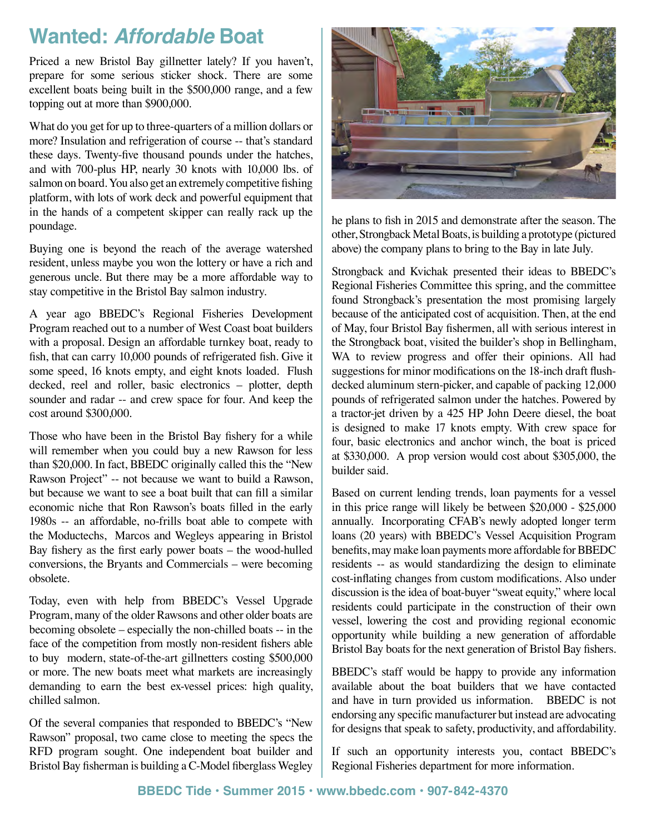## **Wanted:** *Affordable* **Boat**

Priced a new Bristol Bay gillnetter lately? If you haven't, prepare for some serious sticker shock. There are some excellent boats being built in the \$500,000 range, and a few topping out at more than \$900,000.

What do you get for up to three-quarters of a million dollars or more? Insulation and refrigeration of course -- that's standard these days. Twenty-five thousand pounds under the hatches, and with 700-plus HP, nearly 30 knots with 10,000 lbs. of salmon on board. You also get an extremely competitive fishing platform, with lots of work deck and powerful equipment that in the hands of a competent skipper can really rack up the poundage.

Buying one is beyond the reach of the average watershed resident, unless maybe you won the lottery or have a rich and generous uncle. But there may be a more affordable way to stay competitive in the Bristol Bay salmon industry.

A year ago BBEDC's Regional Fisheries Development Program reached out to a number of West Coast boat builders with a proposal. Design an affordable turnkey boat, ready to fish, that can carry 10,000 pounds of refrigerated fish. Give it some speed, 16 knots empty, and eight knots loaded. Flush decked, reel and roller, basic electronics – plotter, depth sounder and radar -- and crew space for four. And keep the cost around \$300,000.

Those who have been in the Bristol Bay fishery for a while will remember when you could buy a new Rawson for less than \$20,000. In fact, BBEDC originally called this the "New Rawson Project" -- not because we want to build a Rawson, but because we want to see a boat built that can fill a similar economic niche that Ron Rawson's boats filled in the early 1980s -- an affordable, no-frills boat able to compete with the Moductechs, Marcos and Wegleys appearing in Bristol Bay fishery as the first early power boats – the wood-hulled conversions, the Bryants and Commercials – were becoming obsolete.

Today, even with help from BBEDC's Vessel Upgrade Program, many of the older Rawsons and other older boats are becoming obsolete – especially the non-chilled boats -- in the face of the competition from mostly non-resident fishers able to buy modern, state-of-the-art gillnetters costing \$500,000 or more. The new boats meet what markets are increasingly demanding to earn the best ex-vessel prices: high quality, chilled salmon.

Of the several companies that responded to BBEDC's "New Rawson" proposal, two came close to meeting the specs the RFD program sought. One independent boat builder and Bristol Bay fisherman is building a C-Model fiberglass Wegley



he plans to fish in 2015 and demonstrate after the season. The other, Strongback Metal Boats, is building a prototype (pictured above) the company plans to bring to the Bay in late July.

Strongback and Kvichak presented their ideas to BBEDC's Regional Fisheries Committee this spring, and the committee found Strongback's presentation the most promising largely because of the anticipated cost of acquisition. Then, at the end of May, four Bristol Bay fishermen, all with serious interest in the Strongback boat, visited the builder's shop in Bellingham, WA to review progress and offer their opinions. All had suggestions for minor modifications on the 18-inch draft flushdecked aluminum stern-picker, and capable of packing 12,000 pounds of refrigerated salmon under the hatches. Powered by a tractor-jet driven by a 425 HP John Deere diesel, the boat is designed to make 17 knots empty. With crew space for four, basic electronics and anchor winch, the boat is priced at \$330,000. A prop version would cost about \$305,000, the builder said.

Based on current lending trends, loan payments for a vessel in this price range will likely be between \$20,000 - \$25,000 annually. Incorporating CFAB's newly adopted longer term loans (20 years) with BBEDC's Vessel Acquisition Program benefits, may make loan payments more affordable for BBEDC residents -- as would standardizing the design to eliminate cost-inflating changes from custom modifications. Also under discussion is the idea of boat-buyer "sweat equity," where local residents could participate in the construction of their own vessel, lowering the cost and providing regional economic opportunity while building a new generation of affordable Bristol Bay boats for the next generation of Bristol Bay fishers.

BBEDC's staff would be happy to provide any information available about the boat builders that we have contacted and have in turn provided us information. BBEDC is not endorsing any specific manufacturer but instead are advocating for designs that speak to safety, productivity, and affordability.

If such an opportunity interests you, contact BBEDC's Regional Fisheries department for more information.